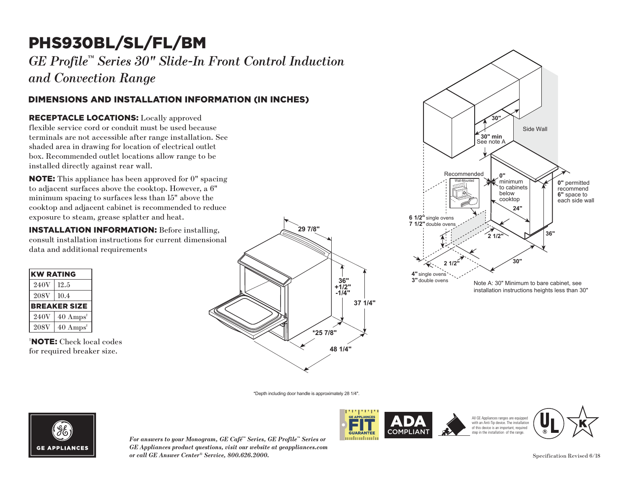# PHS930BL/SL/FL/BM

*GE Profile™ Series 30" Slide-In Front Control Induction and Convection Range*

### DIMENSIONS AND INSTALLATION INFORMATION (IN INCHES)

#### RECEPTACLE LOCATIONS: Locally approved **30"**

flexible service cord or conduit must be used because terminals are not accessible after range installation. See shaded area in drawing for location of electrical outlet box. Recommended outlet locations allow range to be installed directly against rear wall. Example 1<br>
Locally approved<br>
must be used becauster<br>
range installation<br>
tions allow range to<br>
wall. t access

**NOTE:** This appliance has been approved for 0" spacing to adjacent surfaces above the cooktop. However, a  $6"$ to deplace the same to surfaces less than 15" above the minimum spacing to surfaces less than 15" above the cooktop and adjacent cabinet is recommended to reduce **24"** exposure to steam, grease splatter and heat. has be double ovens

**INSTALLATION INFORMATION:** Before installing, **21/21/21/21/21 International consult installation instructions for current dimensional** data and additional requirements

| <b>KW RATING</b> |                             |
|------------------|-----------------------------|
| 240V             | 12.5                        |
| <b>208V</b>      | 10.4                        |
|                  | <b>BREAKER SIZE</b>         |
| 240V             | $40 \text{ Amps}^{\dagger}$ |
| <b>208V</b>      | $40 \text{ Amps}^{\dagger}$ |

† NOTE: Check local codes for required breaker size.





\*Depth including door handle is approximately 28 1/4".



*For answers to your Monogram, GE Café™ Series, GE Profile™ Series or GE Appliances product questions, visit our website at geappliances.com or call GE Answer Center® Service, 800.626.2000.*